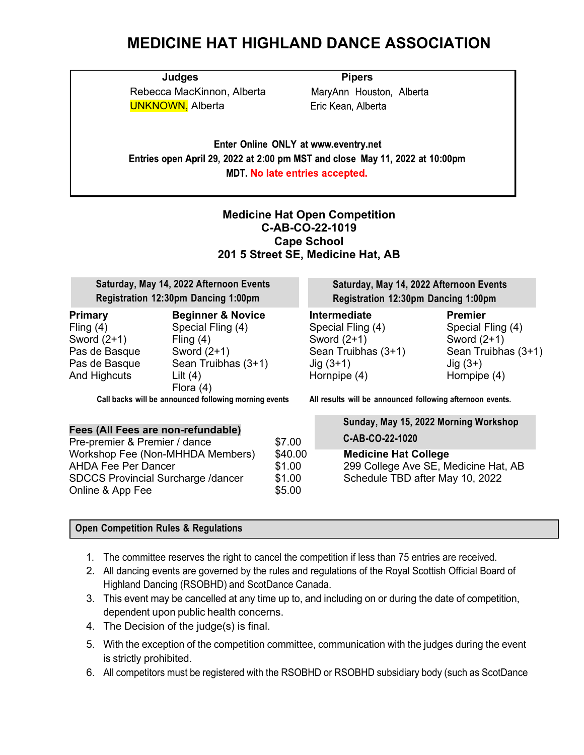## **MEDICINE HAT HIGHLAND DANCE ASSOCIATION**

**Judges Pipers** Rebecca MacKinnon, Alberta UNKNOWN, Alberta

MaryAnn Houston, Alberta Eric Kean, Alberta

Enter Online ONLY at www.eventry.net Entries open April 29, 2022 at 2:00 pm MST and close May 11, 2022 at 10:00pm **MDT. No late entries accepted.** 

### **Medicine Hat Open Competition C-AB-CO-22-1019 Cape School 201 5 Street SE, Medicine Hat, AB**

| Saturday, May 14, 2022 Afternoon Events<br>Registration 12:30pm Dancing 1:00pm                   |                                                                                                                                       |                   | Saturday, May 14, 2022 Afternoon Events<br>Registration 12:30pm Dancing 1:00pm                                 |                                                                                                          |  |
|--------------------------------------------------------------------------------------------------|---------------------------------------------------------------------------------------------------------------------------------------|-------------------|----------------------------------------------------------------------------------------------------------------|----------------------------------------------------------------------------------------------------------|--|
| <b>Primary</b><br>Fling $(4)$<br>Sword $(2+1)$<br>Pas de Basque<br>Pas de Basque<br>And Highcuts | <b>Beginner &amp; Novice</b><br>Special Fling (4)<br>Fling $(4)$<br>Sword $(2+1)$<br>Sean Truibhas (3+1)<br>Lilt $(4)$<br>Flora $(4)$ |                   | <b>Intermediate</b><br>Special Fling (4)<br>Sword $(2+1)$<br>Sean Truibhas (3+1)<br>$Jig(3+1)$<br>Hornpipe (4) | <b>Premier</b><br>Special Fling (4)<br>Sword $(2+1)$<br>Sean Truibhas (3+1)<br>$Jig(3+)$<br>Hornpipe (4) |  |
| Call backs will be announced following morning events                                            |                                                                                                                                       |                   | All results will be announced following afternoon events.                                                      |                                                                                                          |  |
| Fees (All Fees are non-refundable)                                                               |                                                                                                                                       |                   | Sunday, May 15, 2022 Morning Workshop                                                                          |                                                                                                          |  |
| Pre-premier & Premier / dance                                                                    |                                                                                                                                       | \$7.00            | C-AB-CO-22-1020                                                                                                |                                                                                                          |  |
| Workshop Fee (Non-MHHDA Members)<br><b>AHDA Fee Per Dancer</b>                                   |                                                                                                                                       | \$40.00<br>\$1.00 |                                                                                                                | <b>Medicine Hat College</b><br>299 College Ave SE, Medicine Hat, AB                                      |  |

Online & App Fee  $$5.00$ 

#### **Open Competition Rules & Regulations**

1. The committee reserves the right to cancel the competition if less than 75 entries are received.

SDCCS Provincial Surcharge /dancer \$1.00 Schedule TBD after May 10, 2022

- 2. All dancing events are governed by the rules and regulations of the Royal Scottish Official Board of Highland Dancing (RSOBHD) and ScotDance Canada.
- 3. This event may be cancelled at any time up to, and including on or during the date of competition, dependent upon public health concerns.
- 4. The Decision of the judge(s) is final.
- 5. With the exception of the competition committee, communication with the judges during the event is strictly prohibited.
- 6. All competitors must be registered with the RSOBHD or RSOBHD subsidiary body (such as ScotDance